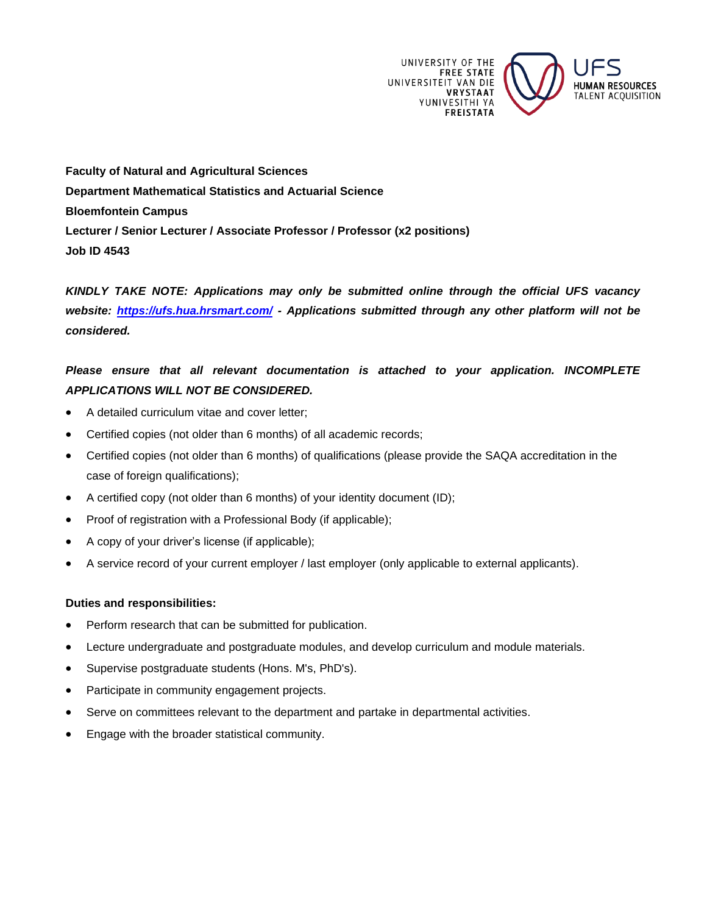

**Faculty of Natural and Agricultural Sciences Department Mathematical Statistics and Actuarial Science Bloemfontein Campus Lecturer / Senior Lecturer / Associate Professor / Professor (x2 positions) Job ID 4543**

*KINDLY TAKE NOTE: Applications may only be submitted online through the official UFS vacancy website:<https://ufs.hua.hrsmart.com/> - Applications submitted through any other platform will not be considered.*

# *Please ensure that all relevant documentation is attached to your application. INCOMPLETE APPLICATIONS WILL NOT BE CONSIDERED.*

- A detailed curriculum vitae and cover letter;
- Certified copies (not older than 6 months) of all academic records;
- Certified copies (not older than 6 months) of qualifications (please provide the SAQA accreditation in the case of foreign qualifications);
- A certified copy (not older than 6 months) of your identity document (ID);
- Proof of registration with a Professional Body (if applicable);
- A copy of your driver's license (if applicable);
- A service record of your current employer / last employer (only applicable to external applicants).

# **Duties and responsibilities:**

- Perform research that can be submitted for publication.
- Lecture undergraduate and postgraduate modules, and develop curriculum and module materials.
- Supervise postgraduate students (Hons. M's, PhD's).
- Participate in community engagement projects.
- Serve on committees relevant to the department and partake in departmental activities.
- Engage with the broader statistical community.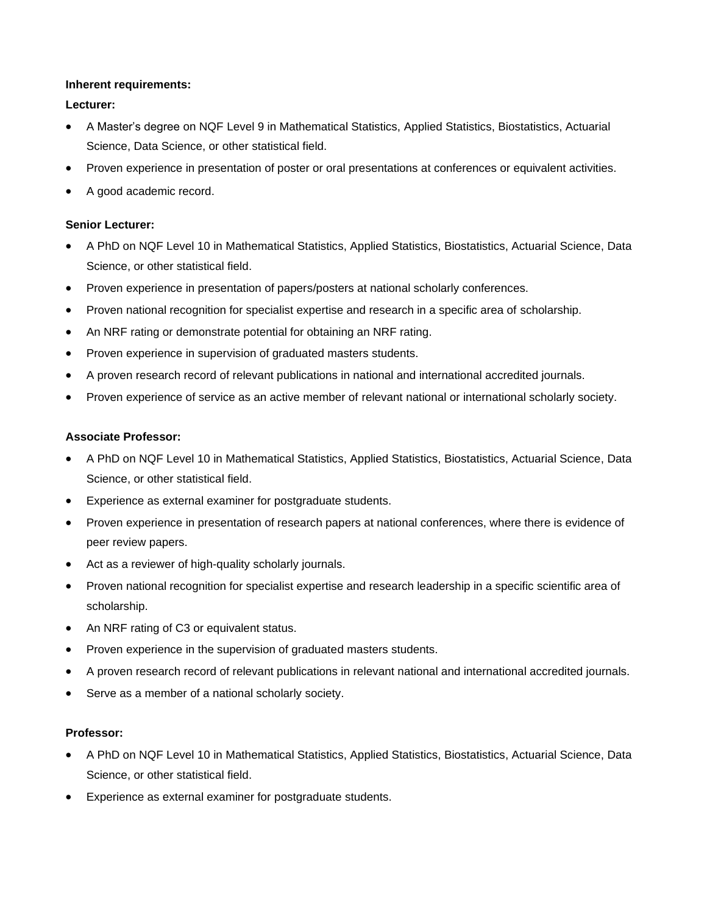## **Inherent requirements:**

# **Lecturer:**

- A Master's degree on NQF Level 9 in Mathematical Statistics, Applied Statistics, Biostatistics, Actuarial Science, Data Science, or other statistical field.
- Proven experience in presentation of poster or oral presentations at conferences or equivalent activities.
- A good academic record.

# **Senior Lecturer:**

- A PhD on NQF Level 10 in Mathematical Statistics, Applied Statistics, Biostatistics, Actuarial Science, Data Science, or other statistical field.
- Proven experience in presentation of papers/posters at national scholarly conferences.
- Proven national recognition for specialist expertise and research in a specific area of scholarship.
- An NRF rating or demonstrate potential for obtaining an NRF rating.
- Proven experience in supervision of graduated masters students.
- A proven research record of relevant publications in national and international accredited journals.
- Proven experience of service as an active member of relevant national or international scholarly society.

# **Associate Professor:**

- A PhD on NQF Level 10 in Mathematical Statistics, Applied Statistics, Biostatistics, Actuarial Science, Data Science, or other statistical field.
- Experience as external examiner for postgraduate students.
- Proven experience in presentation of research papers at national conferences, where there is evidence of peer review papers.
- Act as a reviewer of high-quality scholarly journals.
- Proven national recognition for specialist expertise and research leadership in a specific scientific area of scholarship.
- An NRF rating of C3 or equivalent status.
- Proven experience in the supervision of graduated masters students.
- A proven research record of relevant publications in relevant national and international accredited journals.
- Serve as a member of a national scholarly society.

# **Professor:**

- A PhD on NQF Level 10 in Mathematical Statistics, Applied Statistics, Biostatistics, Actuarial Science, Data Science, or other statistical field.
- Experience as external examiner for postgraduate students.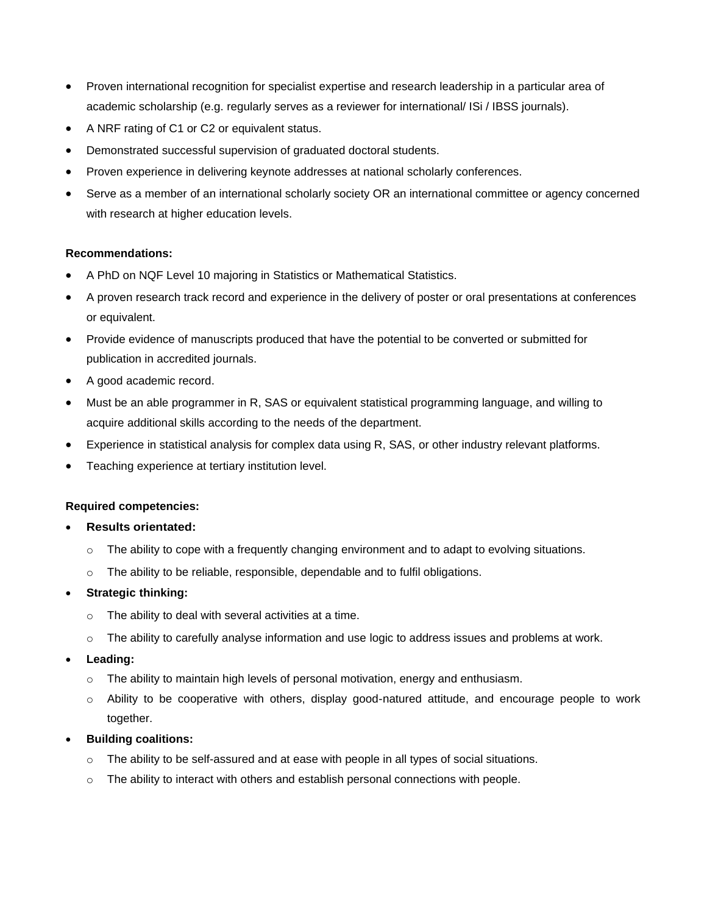- Proven international recognition for specialist expertise and research leadership in a particular area of academic scholarship (e.g. regularly serves as a reviewer for international/ ISi / IBSS journals).
- A NRF rating of C1 or C2 or equivalent status.
- Demonstrated successful supervision of graduated doctoral students.
- Proven experience in delivering keynote addresses at national scholarly conferences.
- Serve as a member of an international scholarly society OR an international committee or agency concerned with research at higher education levels.

# **Recommendations:**

- A PhD on NQF Level 10 majoring in Statistics or Mathematical Statistics.
- A proven research track record and experience in the delivery of poster or oral presentations at conferences or equivalent.
- Provide evidence of manuscripts produced that have the potential to be converted or submitted for publication in accredited journals.
- A good academic record.
- Must be an able programmer in R, SAS or equivalent statistical programming language, and willing to acquire additional skills according to the needs of the department.
- Experience in statistical analysis for complex data using R, SAS, or other industry relevant platforms.
- Teaching experience at tertiary institution level.

#### **Required competencies:**

#### • **Results orientated:**

- $\circ$  The ability to cope with a frequently changing environment and to adapt to evolving situations.
- o The ability to be reliable, responsible, dependable and to fulfil obligations.

# • **Strategic thinking:**

- o The ability to deal with several activities at a time.
- o The ability to carefully analyse information and use logic to address issues and problems at work.
- **Leading:**
	- $\circ$  The ability to maintain high levels of personal motivation, energy and enthusiasm.
	- o Ability to be cooperative with others, display good-natured attitude, and encourage people to work together.

# • **Building coalitions:**

- o The ability to be self-assured and at ease with people in all types of social situations.
- o The ability to interact with others and establish personal connections with people.